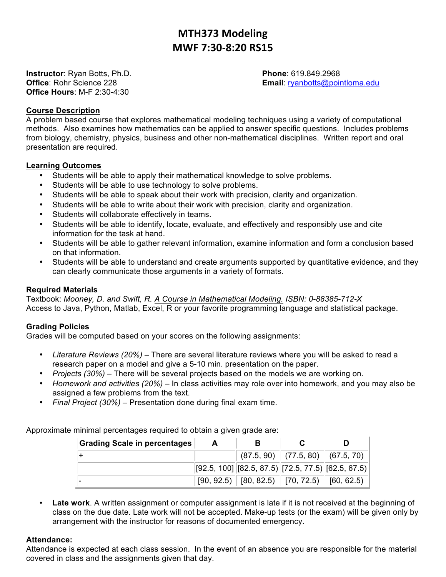# **MTH373 Modeling MWF 7:30-8:20 RS15**

**Instructor**: Ryan Botts, Ph.D. **Phone**: 619.849.2968 **Office Hours**: M-F 2:30-4:30

**Office**: Rohr Science 228 **Email:** ryanbotts@pointloma.edu

## **Course Description**

A problem based course that explores mathematical modeling techniques using a variety of computational methods. Also examines how mathematics can be applied to answer specific questions. Includes problems from biology, chemistry, physics, business and other non-mathematical disciplines. Written report and oral presentation are required.

### **Learning Outcomes**

- Students will be able to apply their mathematical knowledge to solve problems.
- Students will be able to use technology to solve problems.
- Students will be able to speak about their work with precision, clarity and organization.
- Students will be able to write about their work with precision, clarity and organization.
- Students will collaborate effectively in teams.
- Students will be able to identify, locate, evaluate, and effectively and responsibly use and cite information for the task at hand.
- Students will be able to gather relevant information, examine information and form a conclusion based on that information.
- Students will be able to understand and create arguments supported by quantitative evidence, and they can clearly communicate those arguments in a variety of formats.

## **Required Materials**

Textbook: *Mooney, D. and Swift, R. A Course in Mathematical Modeling. ISBN: 0-88385-712-X* Access to Java, Python, Matlab, Excel, R or your favorite programming language and statistical package.

# **Grading Policies**

Grades will be computed based on your scores on the following assignments:

- *Literature Reviews (20%)* There are several literature reviews where you will be asked to read a research paper on a model and give a 5-10 min. presentation on the paper.
- *Projects (30%) –* There will be several projects based on the models we are working on.
- *Homework and activities (20%) –* In class activities may role over into homework, and you may also be assigned a few problems from the text.
- *Final Project (30%) –* Presentation done during final exam time.

Approximate minimal percentages required to obtain a given grade are:

| <b>Grading Scale in percentages</b> | A | в                                                          |                                        |  |
|-------------------------------------|---|------------------------------------------------------------|----------------------------------------|--|
|                                     |   |                                                            | $(87.5, 90)$ $(77.5, 80)$ $(67.5, 70)$ |  |
|                                     |   | $[92.5, 100]$ $[82.5, 87.5)$ $[72.5, 77.5)$ $[62.5, 67.5)$ |                                        |  |
|                                     |   | $[90, 92.5)$ $[80, 82.5)$ $[70, 72.5)$ $[60, 62.5)$        |                                        |  |

• **Late work**. A written assignment or computer assignment is late if it is not received at the beginning of class on the due date. Late work will not be accepted. Make-up tests (or the exam) will be given only by arrangement with the instructor for reasons of documented emergency.

### **Attendance:**

Attendance is expected at each class session. In the event of an absence you are responsible for the material covered in class and the assignments given that day.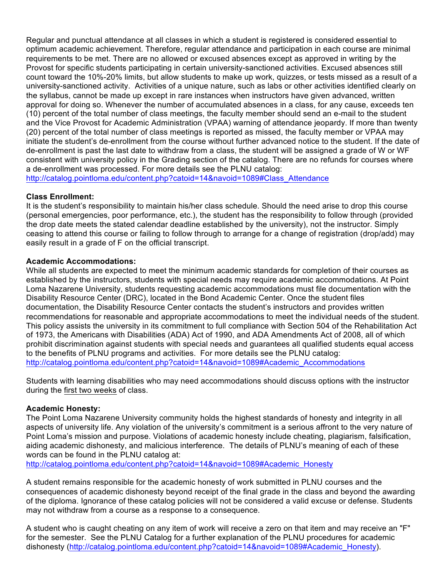Regular and punctual attendance at all classes in which a student is registered is considered essential to optimum academic achievement. Therefore, regular attendance and participation in each course are minimal requirements to be met. There are no allowed or excused absences except as approved in writing by the Provost for specific students participating in certain university-sanctioned activities. Excused absences still count toward the 10%-20% limits, but allow students to make up work, quizzes, or tests missed as a result of a university-sanctioned activity. Activities of a unique nature, such as labs or other activities identified clearly on the syllabus, cannot be made up except in rare instances when instructors have given advanced, written approval for doing so. Whenever the number of accumulated absences in a class, for any cause, exceeds ten (10) percent of the total number of class meetings, the faculty member should send an e-mail to the student and the Vice Provost for Academic Administration (VPAA) warning of attendance jeopardy. If more than twenty (20) percent of the total number of class meetings is reported as missed, the faculty member or VPAA may initiate the student's de-enrollment from the course without further advanced notice to the student. If the date of de-enrollment is past the last date to withdraw from a class, the student will be assigned a grade of W or WF consistent with university policy in the Grading section of the catalog. There are no refunds for courses where a de-enrollment was processed. For more details see the PLNU catalog: http://catalog.pointloma.edu/content.php?catoid=14&navoid=1089#Class\_Attendance

# **Class Enrollment:**

It is the student's responsibility to maintain his/her class schedule. Should the need arise to drop this course (personal emergencies, poor performance, etc.), the student has the responsibility to follow through (provided the drop date meets the stated calendar deadline established by the university), not the instructor. Simply ceasing to attend this course or failing to follow through to arrange for a change of registration (drop/add) may easily result in a grade of F on the official transcript.

# **Academic Accommodations:**

While all students are expected to meet the minimum academic standards for completion of their courses as established by the instructors, students with special needs may require academic accommodations. At Point Loma Nazarene University, students requesting academic accommodations must file documentation with the Disability Resource Center (DRC), located in the Bond Academic Center. Once the student files documentation, the Disability Resource Center contacts the student's instructors and provides written recommendations for reasonable and appropriate accommodations to meet the individual needs of the student. This policy assists the university in its commitment to full compliance with Section 504 of the Rehabilitation Act of 1973, the Americans with Disabilities (ADA) Act of 1990, and ADA Amendments Act of 2008, all of which prohibit discrimination against students with special needs and guarantees all qualified students equal access to the benefits of PLNU programs and activities. For more details see the PLNU catalog: http://catalog.pointloma.edu/content.php?catoid=14&navoid=1089#Academic\_Accommodations

Students with learning disabilities who may need accommodations should discuss options with the instructor during the first two weeks of class.

# **Academic Honesty:**

The Point Loma Nazarene University community holds the highest standards of honesty and integrity in all aspects of university life. Any violation of the university's commitment is a serious affront to the very nature of Point Loma's mission and purpose. Violations of academic honesty include cheating, plagiarism, falsification, aiding academic dishonesty, and malicious interference. The details of PLNU's meaning of each of these words can be found in the PLNU catalog at:

http://catalog.pointloma.edu/content.php?catoid=14&navoid=1089#Academic\_Honesty

A student remains responsible for the academic honesty of work submitted in PLNU courses and the consequences of academic dishonesty beyond receipt of the final grade in the class and beyond the awarding of the diploma. Ignorance of these catalog policies will not be considered a valid excuse or defense. Students may not withdraw from a course as a response to a consequence.

A student who is caught cheating on any item of work will receive a zero on that item and may receive an "F" for the semester. See the PLNU Catalog for a further explanation of the PLNU procedures for academic dishonesty (http://catalog.pointloma.edu/content.php?catoid=14&navoid=1089#Academic\_Honesty).